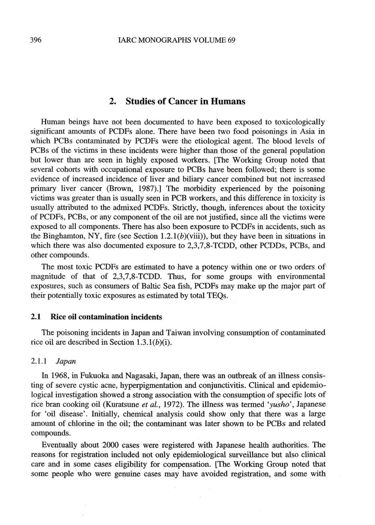# **2. Studies of Cancer in Humans**

**Human beings have not been documented to have been exposed to toxicologically significant amounts of PCDFs alone. There have been two food poisonings in Asia in which PCBs contaminated by PCDFs were the etiological agent.** The **blood levels of PCBs** of the **victims in these incidents were higher than** those **of** the **general population but lower than are seen** in **highly exposed workers. [The Working Group noted that**  several **cohorts with occupational** *exposure* **to PCBs have been followed; there is some evidence of increased incidence of liver** and **biliary cancer combined but not increased primary liver cancer (Brown, 1987).] The morbidity experienced by** the **poisoning victims** was greater **than is usually seen in PCB workers, and** this difference **in toxicity is usually attributed to the admixed PCDFs. Strictly, though, inferences about the** toxicity **of** PCDFs, **PCBs, or any component of the oil are not justified, since** all **the victims were exposed to all components. There has** dso **been exposure to WDFs in accidents, such as**  the **Binghamton, NY,** fire **(see Section 1.2.1(b)(viii)), but they have been in situations in which there was also documented exposure to 2,3,7,8-TCDD, other PCDDs, PCBs, and other compounds.** 

**The most toxic PCDFs** are **estimated to have a potency** within **one or** *two* **orders of, magnitude of that of 2,3,7,8-TCDD. Thus, for some groups with environmenta1 exposures, such as consumers of Baltic Sea fish, PCDFs may make up the major part of their** potentially **toxic exposures as estimated by** total **TEQs.** 

## **2.1 Rice oil contamination incidents**

The **poisoning incidents in Japan** and **Taiwan involving consumption of contaminated**  rice oil are described in Section 1.3.1(b)(i).

#### $2.1.1$ Japan

**In 1968, in Fukuoka** and **Nagasaki, Japan, there was an outbreak of** an **illness consisting of severe cystic acne, hyperpigmentation and conjunctivitis. Clinical** and **epidemio**logical **investigation showed** a **strong** association **with the consumption of specific lots of rice bran cooking oil (Kuratsune** *et ah,* 1972). *The* **illness was termed** *'yusho',* **Japanese for** 'oil disease'. **Initially, chemical analysis could show only that** there **was** a **large amount** of **chlorine** in the **oil; the contaminant was later shown to be** PCBs and **related compounds.** 

Eventually **about** 2000 **cases were registered** with **Japanese health authorities. The reasons for** registration **included not only epidemiological surveillance** but **also clinical**  care and **in** some **cases eligibility for compensation. [The Working** Group noted **that some people who were genuine cases may have avoided registration, and some with** 

 $\tilde{\alpha}$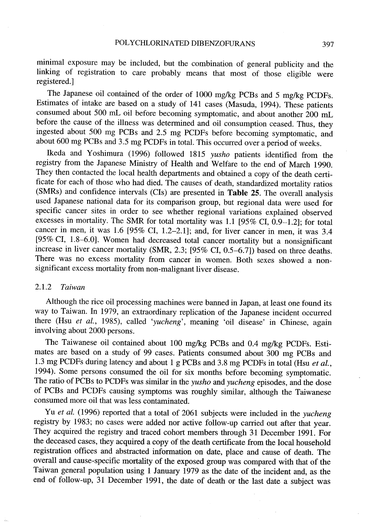minimal exposure may be included, but the combination of general publicity and the linking of registration to care probably means that most of those eligible were registered.)

The Japanese oil contained of the order of 1000 mg/kg PCBs and 5 mg/kg PCDFs. Estimates of intake are based on a study of 141 cases (Masuda, 1994). These patients consumed about 500 mL oil before becoming symptomatic, and about another 200 mL before the cause of the illness was determined and oil consumption ceased. Thus, they ingested about 500 mg PCBs and 2.5 mg PCDFs before becoming symptomatic, and about 600 mg PCBs and 3.5 mg PCDFs in total. This occurred over a period of weeks.

Ikeda and Yoshimura (1996) followed 1815 yusho patients identified from the registry from the Japanese Ministry of Health and Welfare to the end of March 1990. They then contacted the local health deparments and obtained a copy of the death certificate for each of those who had died. The causes of death, standardized mortality ratios (SMRs) and confidence intervals (Cls) are presented in Table 25. The overall analysis used Japanese national data for its comparison group, but regional data were used for specifie cancer sites in order to see whether regional varations explained observed excesses in mortality. The SMR for total mortality was 1.1 (95% CI, 0.9-1.2); for total cancer in men, it was 1.6 (95% CI, 1.2-2.1); and, for liver cancer in men, it was 3.4 (95% CI, 1.8-6.0). Women had decreased total cancer mortality but a nonsignificant increase in liver cancer mortality (SMR, 2.3; (95% CI, 0.5-6.7)) based on three deaths. There was no excess mortality from cancer in women. Both sexes showed a nonsignificant excess mortality from non-malignant liver disease.

## 2.1.2 Taiwan

Although the rice oil processing machines were banned in Japan, at least one found its way to Taiwan. In 1979, an extraordinary replication of the Japanese incident occurred there (Hsu et al., 1985), called 'yucheng', meaning 'oil disease' in Chinese, again involving about 2000 persons.

The Taiwanese oil contained about 100 mg/kg PCBs and 0.4 mg/kg PCDFs. Estimates are based on a study of 99 cases. Patients consumed about 300 mg PCBs and 1.3 mg PCDFs during latency and about 1 g PCBs and 3.8 mg PCDFs in total (Hsu et al., 1994). Sorne persons consumed the oil for six months before becoming symptomatic. The ratio of PCBs to PCDFs was similar in the yusho and yucheng episodes, and the dose of PCBs and PCDFs causing symptoms was roughly similar, although the Taiwanese consumed more oil that was less contaminated.

Yu et al. (1996) reported that a total of 2061 subjects were included in the *yucheng* registry by 1983; no cases were added nor active follow-up carried out after that year. They acquired the registry and traced cohort members through 31 December 1991. For the deceased cases, they acquired a copy of the death certificate from the local household registration offices and abstracted information on date, place and cause of death. The overall and cause-specific mortality of the exposed group was compared with that of the Taiwan general population using 1 January 1979 as the date of the incident and, as the end of follow-up, 31 December 1991, the date of death or the last date a subject was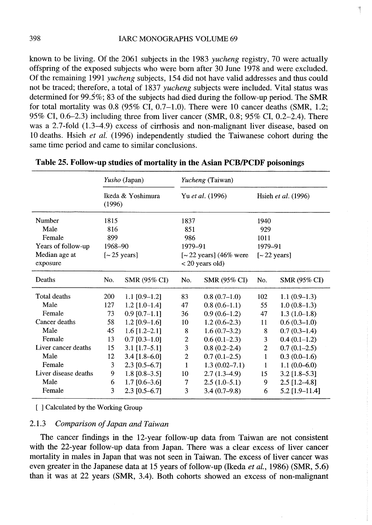known to be living. Of the 2061 subjects in the 1983 yucheng registry, 70 were actually offspring of the exposed subjects who were bom after 30 June 1978 and were excluded. Of the remaining 1991 yucheng subjects, 154 did not have valid addresses and thus could not be traced; therefore, a total of 1837 yucheng subjects were included. Vital status was determined for 99.5%; 83 of the subjects had died during the follow-up period. The SMR for total mortality was  $0.8$  (95% CI, 0.7-1.0). There were 10 cancer deaths (SMR, 1.2; 95% CI, 0.6-2.3) including three from liver cancer (SMR, 0.8; 95% CI, 0.2-2.4). There was a 2.7-fold (1.3-4.9) excess of cirrhosis and non-malignant liver disease, based on 10 deaths. Hsieh et al. (1996) independently studied the Taiwanese cohort during the same time period and came to similar conclusions.

|                      | Yusho (Japan)<br>Ikeda & Yoshimura<br>(1996) |                   | Yucheng (Taiwan)                |                     |                                |                     |
|----------------------|----------------------------------------------|-------------------|---------------------------------|---------------------|--------------------------------|---------------------|
|                      |                                              |                   | Yu et al. (1996)                |                     | Hsieh et al. (1996)            |                     |
| Number               | 1815                                         |                   | 1837                            |                     | 1940                           |                     |
| Male                 | 816                                          |                   | 851                             |                     | 929                            |                     |
| Female               | 899                                          |                   | 986                             |                     | 1011                           |                     |
| Years of follow-up   | 1968-90                                      |                   | 1979-91                         |                     | 1979-91                        |                     |
| Median age at        | $\left[\sim 25 \text{ years}\right]$         |                   | $[-22 \text{ years}]$ (46% were |                     | $\left[~22~{\rm years}\right]$ |                     |
| exposure             |                                              |                   | $<$ 20 years old)               |                     |                                |                     |
| Deaths               | No.                                          | SMR (95% CI)      | No.                             | <b>SMR (95% CI)</b> | No.                            | <b>SMR (95% CI)</b> |
| Total deaths         | 200                                          | 1.1 $[0.9-1.2]$   | 83                              | $0.8(0.7-1.0)$      | 102                            | $1.1(0.9-1.3)$      |
| Male                 | 127                                          | $1.2$ [1.0-1.4]   | 47                              | $0.8(0.6-1.1)$      | 55                             | $1.0(0.8-1.3)$      |
| Female               | 73                                           | $0.9$ [0.7-1.1]   | 36                              | $0.9(0.6-1.2)$      | 47                             | $1.3(1.0-1.8)$      |
| Cancer deaths        | 58                                           | $1.2$ [0.9-1.6]   | 10                              | $1.2(0.6-2.3)$      | 11                             | $0.6(0.3-1.0)$      |
| Male                 | 45                                           | $1.6$ [1.2–2.1]   | 8                               | $1.6(0.7-3.2)$      | 8                              | $0.7(0.3-1.4)$      |
| Female               | 13                                           | $0.7$ [0.3-1.0]   | 2                               | $0.6(0.1-2.3)$      | 3                              | $0.4(0.1-1.2)$      |
| Liver cancer deaths  | 15                                           | $3.1$ [1.7-5.1]   | 3                               | $0.8(0.2-2.4)$      | $\overline{2}$                 | $0.7(0.1-2.5)$      |
| Male                 | 12                                           | $3.4$ [1.8-6.0]   | $\overline{2}$                  | $0.7(0.1-2.5)$      | $\mathbf{1}$                   | $0.3(0.0-1.6)$      |
| Female               | 3                                            | $2.3$ [0.5-6.7]   | $\mathbf{1}$                    | $1.3(0.02 - 7.1)$   | 1                              | $1.1(0.0-6.0)$      |
| Liver disease deaths | 9                                            | 1.8 $[0.8 - 3.5]$ | 10                              | $2.7(1.3-4.9)$      | 15                             | $3.2$ [1.8-5.3]     |
| Male                 | 6                                            | $1.7$ [0.6–3.6]   | 7                               | $2.5(1.0-5.1)$      | 9                              | $2.5$ [1.2–4.8]     |
| Female               | 3                                            | $2.3$ [0.5-6.7]   | 3                               | $3.4(0.7-9.8)$      | 6                              | $5.2$ [1.9-11.4]    |

## Table 25. Follow-up studies of mortality in the Asian PCB/PCDF poisonings

[ ] Calculated by the Working Group

## 2.1.3 Comparison of Japan and Taiwan

The cancer findings in the 12-year follow-up data from Taiwan are not consistent with the 22-year follow-up data from Japan. There was a clear excess of liver cancer mortality in males in Japan that was not seen in Taiwan. The excess of liver cancer was even greater in the Japanese data at 15 years of follow-up (Ikeda et al., 1986) (SMR, 5.6) than it was at 22 years (SMR, 3.4). Both cohorts showed an excess of non-malignant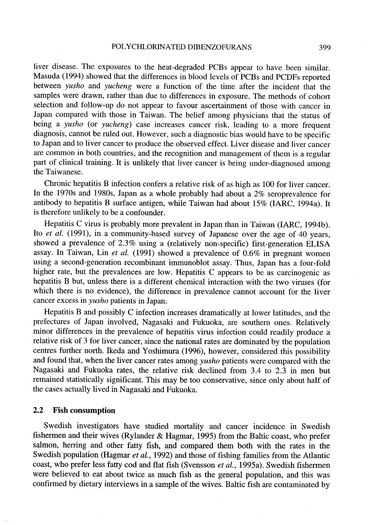## POLYCHLORINATED DIBENZOFURANS 399

liver disease. The exposures to the heat-degraded PCBs appear to have been similar. Masuda (1994) showed that the differences in blood levels of PCBs and PCDFs reported between yusho and yucheng were a function of the time after the incident that the samples were drawn, rather than due to differences in exposure. The methods of cohort selection and follow-up do not appear to favour ascertainment of those with cancer in Japan compared with those in Taiwan. The belief among physicians that the status of being a *yusho* (or *yucheng*) case increases cancer risk, leading to a more frequent diagnosis, cannot be ruled out. However, such a diagnostic bias would have to be specifie to Japan and to liver cancer to produce the observed effect. Liver disease and liver cancer are common in both countries, and the recognition and management of them is a regular part of clinical training. It is unlikely that liver cancer is being under-diagnosed among the Taiwanese.

Chronic hepatitis B infection confers a relative risk of as high as 100 for liver cancer. ln the 1970s and 1980s, Japan as a whole probably had about a 2% seroprevalence for antibody to hepatitis B surface antigen, while Taiwan had about 15% (IARC, 1994a). It is therefore unlikely to be a confounder.

Hepatitis C virus is probably more prevalent in Japan than in Taiwan (IARC, 1994b). Ito *et al.* (1991), in a community-based survey of Japanese over the age of 40 years, showed a prevalence of 2.3% using a (relatively non-specifie) first-generation ELISA assay. ln Taiwan, Lin et al. (1991) showed a prevalence of 0.6% in pregnant women using a second-generation recombinant immunoblot assay. Thus, Japan has a four-fold higher rate, but the prevalences are low. Hepatitis C appears to be as carcinogenic as hepatitis B but, unless there is a different chemical interaction with the two viruses (for which there is no evidence), the difference in prevalence cannot account for the liver cancer excess in yusho patients in Japan.

Hepatitis B and possibly C infection increases dramatically at lower latitudes, and the prefectures of Japan involved, Nagasaki and Fukuoka, are southern ones. Relatively minor differences in the prevalence of hepatitis virus infection could readily produce a relative risk of 3 for liver cancer, since the national rates are dominated by the population centres further north. Ikeda and Yoshimura (1996), however, considered this possibility and found that, when the liver cancer rates among yusho patients were compared with the Nagasaki and Fukuoka rates, the relative risk declined from 3.4 to 2.3 in men but remained statistically significant. This may be too conservative, since only about half of the cases actually lived in Nagasaki and Fukuoka.

## 2.2 Fish consumption

Swedish investigators have studied mortality and cancer incidence in Swedish fishermen and their wives (Rylander & Hagmar, 1995) from the Baltic coast, who prefer salmon, herring and other fatty fish, and compared them both with the rates in the Swedish population (Hagmar et al., 1992) and those of fishing families from the Atlantic coast, who prefer less fatty cod and flat fish (Svensson et al., 1995a). Swedish fishermen were believed to eat about twice as much fish as the general population, and this was confirmed by dietary interviews in a sample of the wives. Baltic fish are contaminated by